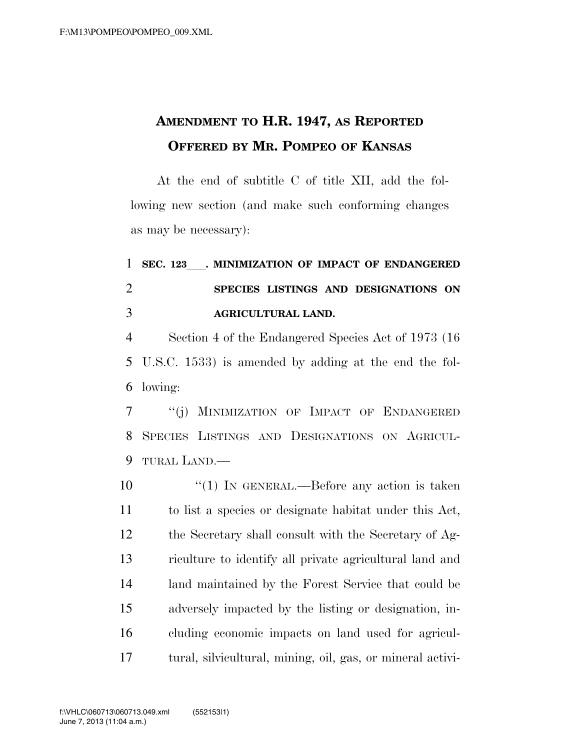## **AMENDMENT TO H.R. 1947, AS REPORTED OFFERED BY MR. POMPEO OF KANSAS**

At the end of subtitle C of title XII, add the following new section (and make such conforming changes as may be necessary):

## **SEC. 123**ll**. MINIMIZATION OF IMPACT OF ENDANGERED SPECIES LISTINGS AND DESIGNATIONS ON AGRICULTURAL LAND.**

 Section 4 of the Endangered Species Act of 1973 (16 U.S.C. 1533) is amended by adding at the end the fol-lowing:

 ''(j) MINIMIZATION OF IMPACT OF ENDANGERED SPECIES LISTINGS AND DESIGNATIONS ON AGRICUL-TURAL LAND.—

 $\frac{1}{1}$  IN GENERAL.—Before any action is taken to list a species or designate habitat under this Act, the Secretary shall consult with the Secretary of Ag- riculture to identify all private agricultural land and land maintained by the Forest Service that could be adversely impacted by the listing or designation, in- cluding economic impacts on land used for agricul-tural, silvicultural, mining, oil, gas, or mineral activi-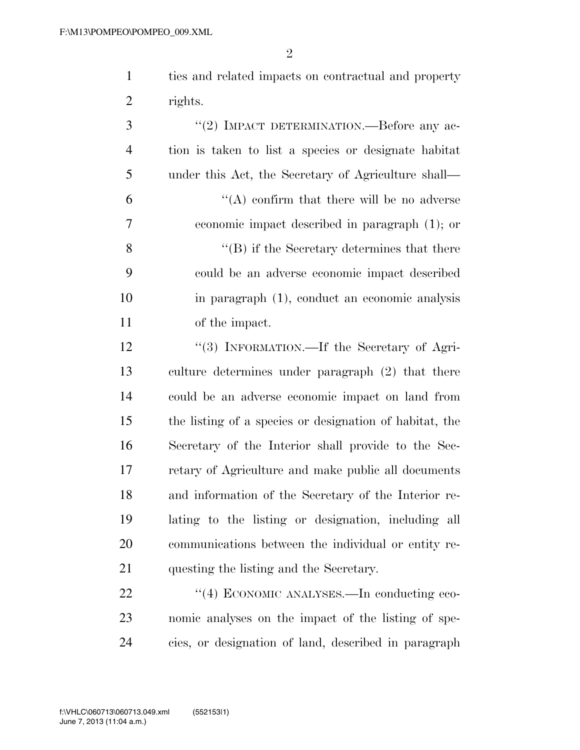ties and related impacts on contractual and property rights.

3 "(2) IMPACT DETERMINATION.—Before any ac- tion is taken to list a species or designate habitat under this Act, the Secretary of Agriculture shall—  $\mathfrak{g}$   $\mathfrak{g}$  (A) confirm that there will be no adverse economic impact described in paragraph (1); or 8 ''(B) if the Secretary determines that there could be an adverse economic impact described in paragraph (1), conduct an economic analysis of the impact. 12 "(3) INFORMATION.—If the Secretary of Agri- culture determines under paragraph (2) that there could be an adverse economic impact on land from

 the listing of a species or designation of habitat, the Secretary of the Interior shall provide to the Sec- retary of Agriculture and make public all documents and information of the Secretary of the Interior re- lating to the listing or designation, including all communications between the individual or entity re-questing the listing and the Secretary.

22 "(4) ECONOMIC ANALYSES.—In conducting eco- nomic analyses on the impact of the listing of spe-cies, or designation of land, described in paragraph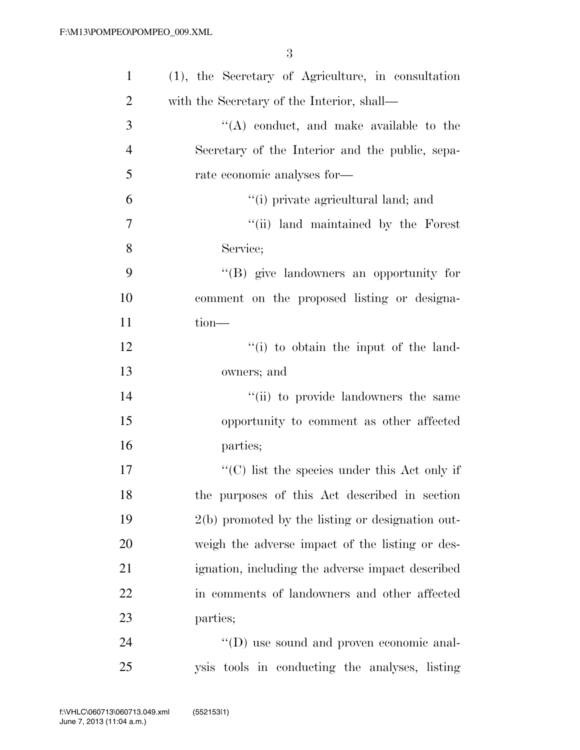| $\mathbf{1}$   | (1), the Secretary of Agriculture, in consultation                |
|----------------|-------------------------------------------------------------------|
| $\overline{2}$ | with the Secretary of the Interior, shall—                        |
| 3              | $\lq\lq$ conduct, and make available to the                       |
| $\overline{4}$ | Secretary of the Interior and the public, sepa-                   |
| 5              | rate economic analyses for-                                       |
| 6              | "(i) private agricultural land; and                               |
| 7              | "(ii) land maintained by the Forest                               |
| 8              | Service;                                                          |
| 9              | "(B) give landowners an opportunity for                           |
| 10             | comment on the proposed listing or designa-                       |
| 11             | tion-                                                             |
| 12             | "(i) to obtain the input of the land-                             |
| 13             | owners; and                                                       |
| 14             | "(ii) to provide landowners the same                              |
| 15             | opportunity to comment as other affected                          |
| 16             | parties;                                                          |
| 17             | $\lq\lq$ <sup>*</sup> (C) list the species under this Act only if |
| 18             | the purposes of this Act described in section                     |
| 19             | $2(b)$ promoted by the listing or designation out-                |
| 20             | weigh the adverse impact of the listing or des-                   |
| 21             | ignation, including the adverse impact described                  |
| 22             | in comments of landowners and other affected                      |
| 23             | parties;                                                          |
| 24             | $\lq\lq$ (D) use sound and proven economic anal-                  |
| 25             | ysis tools in conducting the analyses, listing                    |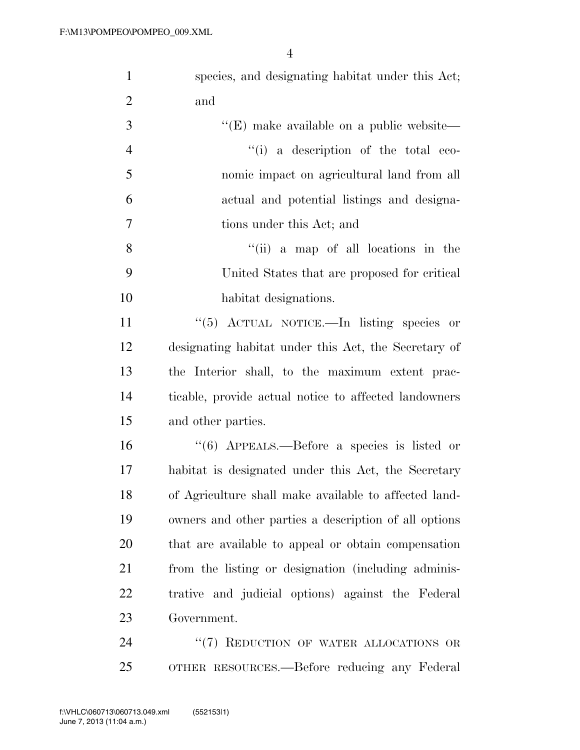| $\mathbf{1}$   | species, and designating habitat under this Act;      |
|----------------|-------------------------------------------------------|
| $\overline{2}$ | and                                                   |
| 3              | $\lq\lq$ (E) make available on a public website—      |
| $\overline{4}$ | "(i) a description of the total eco-                  |
| $\mathfrak{S}$ | nomic impact on agricultural land from all            |
| 6              | actual and potential listings and designa-            |
| $\tau$         | tions under this Act; and                             |
| 8              | $\lq$ (ii) a map of all locations in the              |
| 9              | United States that are proposed for critical          |
| 10             | habitat designations.                                 |
| 11             | "(5) ACTUAL NOTICE.—In listing species or             |
| 12             | designating habitat under this Act, the Secretary of  |
| 13             | the Interior shall, to the maximum extent prac-       |
| 14             | ticable, provide actual notice to affected landowners |
| 15             | and other parties.                                    |
| 16             | " $(6)$ APPEALS.—Before a species is listed or        |
| 17             | habitat is designated under this Act, the Secretary   |
| 18             | of Agriculture shall make available to affected land- |
| 19             | owners and other parties a description of all options |
| 20             | that are available to appeal or obtain compensation   |
| 21             | from the listing or designation (including adminis-   |
| 22             | trative and judicial options) against the Federal     |
| 23             | Government.                                           |
| 24             | "(7) REDUCTION OF WATER ALLOCATIONS OR                |
| 25             | OTHER RESOURCES.—Before reducing any Federal          |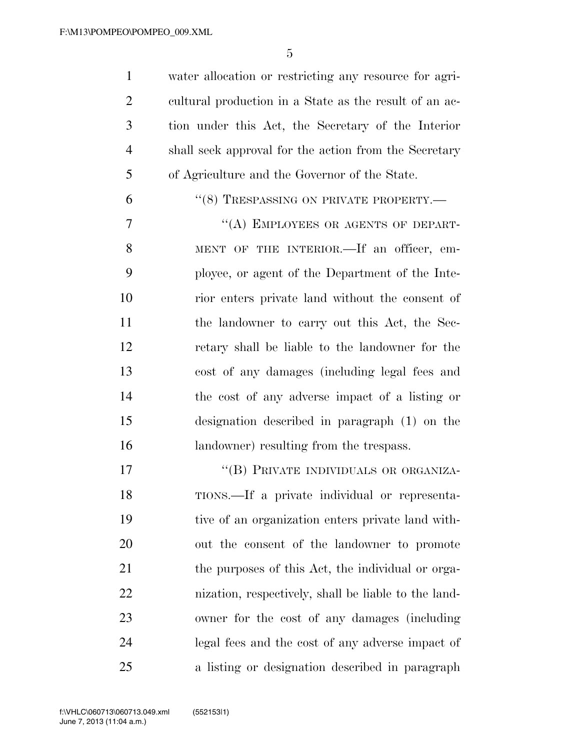water allocation or restricting any resource for agri- cultural production in a State as the result of an ac- tion under this Act, the Secretary of the Interior shall seek approval for the action from the Secretary of Agriculture and the Governor of the State.

## 6 "(8) TRESPASSING ON PRIVATE PROPERTY.—

7 "(A) EMPLOYEES OR AGENTS OF DEPART-8 MENT OF THE INTERIOR.—If an officer, em- ployee, or agent of the Department of the Inte- rior enters private land without the consent of the landowner to carry out this Act, the Sec- retary shall be liable to the landowner for the cost of any damages (including legal fees and the cost of any adverse impact of a listing or designation described in paragraph (1) on the landowner) resulting from the trespass.

17 "(B) PRIVATE INDIVIDUALS OR ORGANIZA- TIONS.—If a private individual or representa- tive of an organization enters private land with- out the consent of the landowner to promote 21 the purposes of this Act, the individual or orga- nization, respectively, shall be liable to the land- owner for the cost of any damages (including legal fees and the cost of any adverse impact of a listing or designation described in paragraph